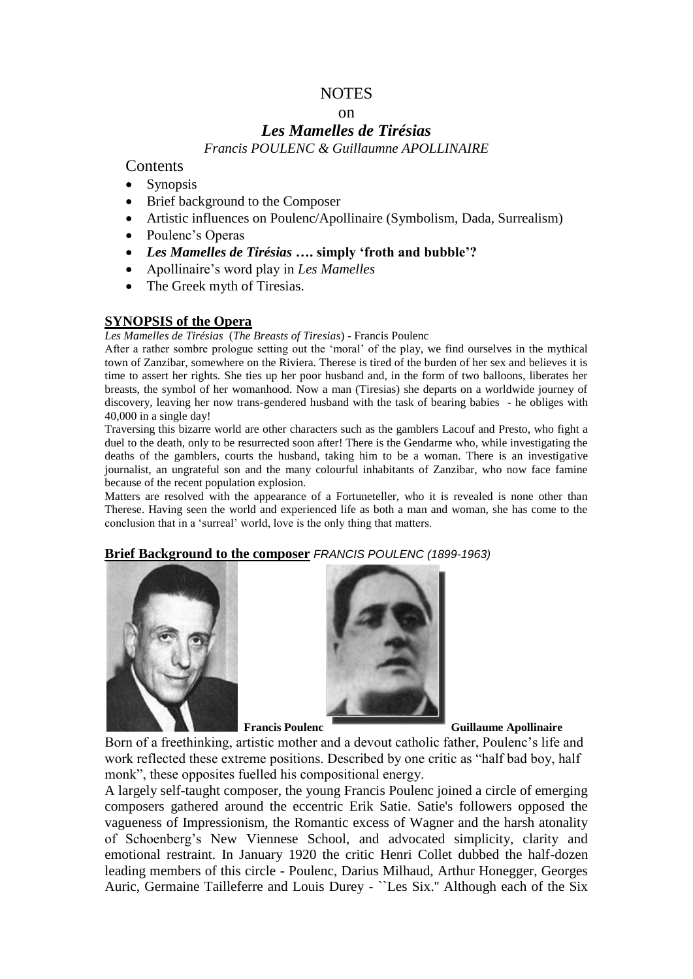# NOTES

#### on

# *Les Mamelles de Tirésias*

*Francis POULENC & Guillaumne APOLLINAIRE*

**Contents** 

- **Synopsis**
- Brief background to the Composer
- Artistic influences on Poulenc/Apollinaire (Symbolism, Dada, Surrealism)
- Poulenc's Operas
- *Les Mamelles de Tirésias* **…. simply 'froth and bubble'?**
- Apollinaire's word play in *Les Mamelles*
- The Greek myth of Tiresias.

## **SYNOPSIS of the Opera**

*Les Mamelles de Tirésias* (*The Breasts of Tiresias*) - Francis Poulenc

After a rather sombre prologue setting out the 'moral' of the play, we find ourselves in the mythical town of Zanzibar, somewhere on the Riviera. Therese is tired of the burden of her sex and believes it is time to assert her rights. She ties up her poor husband and, in the form of two balloons, liberates her breasts, the symbol of her womanhood. Now a man (Tiresias) she departs on a worldwide journey of discovery, leaving her now trans-gendered husband with the task of bearing babies - he obliges with 40,000 in a single day!

Traversing this bizarre world are other characters such as the gamblers Lacouf and Presto, who fight a duel to the death, only to be resurrected soon after! There is the Gendarme who, while investigating the deaths of the gamblers, courts the husband, taking him to be a woman. There is an investigative journalist, an ungrateful son and the many colourful inhabitants of Zanzibar, who now face famine because of the recent population explosion.

Matters are resolved with the appearance of a Fortuneteller, who it is revealed is none other than Therese. Having seen the world and experienced life as both a man and woman, she has come to the conclusion that in a 'surreal' world, love is the only thing that matters.

#### **Brief Background to the composer** *FRANCIS POULENC (1899-1963)*





**Francis Poulenc Guillaume Apollinaire**

Born of a freethinking, artistic mother and a devout catholic father, Poulenc's life and work reflected these extreme positions. Described by one critic as "half bad boy, half monk", these opposites fuelled his compositional energy.

A largely self-taught composer, the young Francis Poulenc joined a circle of emerging composers gathered around the eccentric Erik Satie. Satie's followers opposed the vagueness of Impressionism, the Romantic excess of Wagner and the harsh atonality of Schoenberg's New Viennese School, and advocated simplicity, clarity and emotional restraint. In January 1920 the critic Henri Collet dubbed the half-dozen leading members of this circle - Poulenc, Darius Milhaud, Arthur Honegger, Georges Auric, Germaine Tailleferre and Louis Durey - ``Les Six.'' Although each of the Six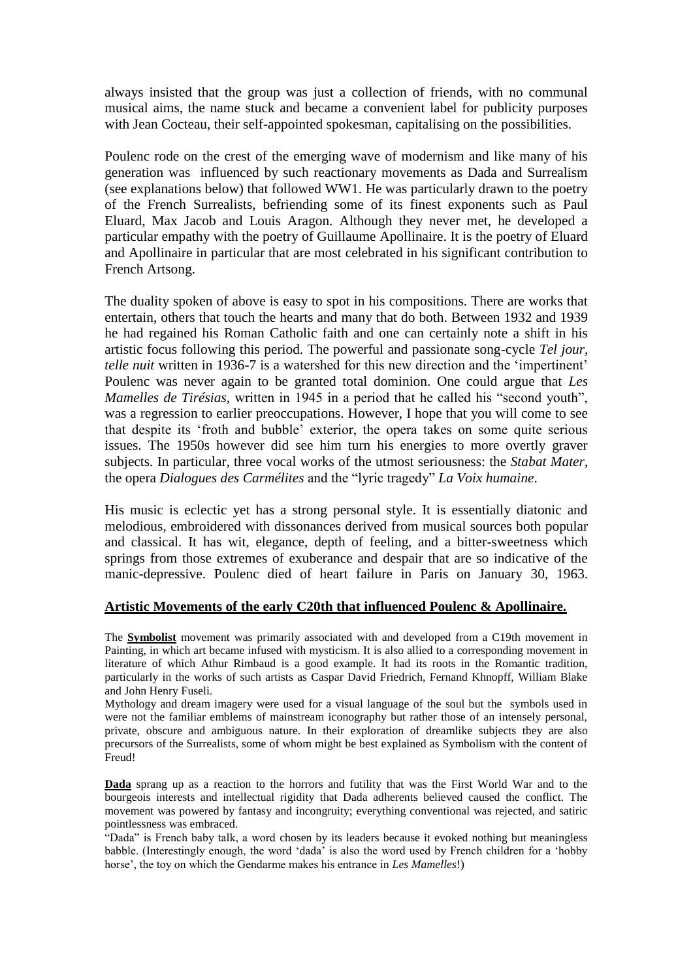always insisted that the group was just a collection of friends, with no communal musical aims, the name stuck and became a convenient label for publicity purposes with Jean Cocteau, their self-appointed spokesman, capitalising on the possibilities.

Poulenc rode on the crest of the emerging wave of modernism and like many of his generation was influenced by such reactionary movements as Dada and Surrealism (see explanations below) that followed WW1. He was particularly drawn to the poetry of the French Surrealists, befriending some of its finest exponents such as Paul Eluard, Max Jacob and Louis Aragon. Although they never met, he developed a particular empathy with the poetry of Guillaume Apollinaire. It is the poetry of Eluard and Apollinaire in particular that are most celebrated in his significant contribution to French Artsong.

The duality spoken of above is easy to spot in his compositions. There are works that entertain, others that touch the hearts and many that do both. Between 1932 and 1939 he had regained his Roman Catholic faith and one can certainly note a shift in his artistic focus following this period. The powerful and passionate song-cycle *Tel jour, telle nuit* written in 1936-7 is a watershed for this new direction and the 'impertinent' Poulenc was never again to be granted total dominion. One could argue that *Les Mamelles de Tirésias,* written in 1945 in a period that he called his "second youth", was a regression to earlier preoccupations. However, I hope that you will come to see that despite its 'froth and bubble' exterior, the opera takes on some quite serious issues. The 1950s however did see him turn his energies to more overtly graver subjects. In particular, three vocal works of the utmost seriousness: the *Stabat Mater*, the opera *Dialogues des Carmélites* and the "lyric tragedy" *La Voix humaine*.

His music is eclectic yet has a strong personal style. It is essentially diatonic and melodious, embroidered with dissonances derived from musical sources both popular and classical. It has wit, elegance, depth of feeling, and a bitter-sweetness which springs from those extremes of exuberance and despair that are so indicative of the manic-depressive. Poulenc died of heart failure in Paris on January 30, 1963.

#### **Artistic Movements of the early C20th that influenced Poulenc & Apollinaire.**

The **Symbolist** movement was primarily associated with and developed from a C19th movement in Painting, in which art became infused with mysticism. It is also allied to a corresponding movement in literature of which Athur Rimbaud is a good example. It had its roots in the Romantic tradition, particularly in the works of such artists as Caspar David Friedrich, Fernand Khnopff, William Blake and John Henry Fuseli.

Mythology and dream imagery were used for a visual language of the soul but the symbols used in were not the familiar emblems of mainstream iconography but rather those of an intensely personal, private, obscure and ambiguous nature. In their exploration of dreamlike subjects they are also precursors of the Surrealists, some of whom might be best explained as Symbolism with the content of Freud!

**Dada** sprang up as a reaction to the horrors and futility that was the First World War and to the bourgeois interests and intellectual rigidity that Dada adherents believed caused the conflict. The movement was powered by fantasy and incongruity; everything conventional was rejected, and satiric pointlessness was embraced.

"Dada" is French baby talk, a word chosen by its leaders because it evoked nothing but meaningless babble. (Interestingly enough, the word 'dada' is also the word used by French children for a 'hobby horse', the toy on which the Gendarme makes his entrance in *Les Mamelles*!)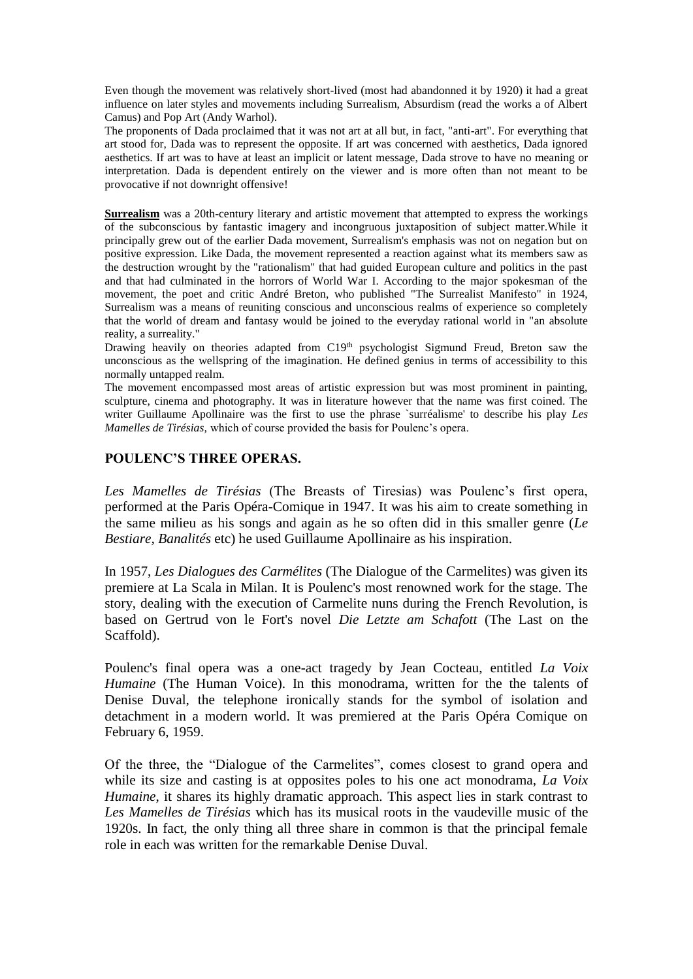Even though the movement was relatively short-lived (most had abandonned it by 1920) it had a great influence on later styles and movements including Surrealism, Absurdism (read the works a of Albert Camus) and Pop Art (Andy Warhol).

The proponents of Dada proclaimed that it was not art at all but, in fact, "anti-art". For everything that art stood for, Dada was to represent the opposite. If art was concerned with aesthetics, Dada ignored aesthetics. If art was to have at least an implicit or latent message, Dada strove to have no meaning or interpretation. Dada is dependent entirely on the viewer and is more often than not meant to be provocative if not downright offensive!

**Surrealism** was a 20th-century literary and artistic movement that attempted to express the workings of the subconscious by fantastic imagery and incongruous juxtaposition of subject matter.While it principally grew out of the earlier Dada movement, Surrealism's emphasis was not on negation but on positive expression. Like Dada, the movement represented a reaction against what its members saw as the destruction wrought by the "rationalism" that had guided European culture and politics in the past and that had culminated in the horrors of World War I. According to the major spokesman of the movement, the poet and critic André Breton, who published "The Surrealist Manifesto" in 1924, Surrealism was a means of reuniting conscious and unconscious realms of experience so completely that the world of dream and fantasy would be joined to the everyday rational world in "an absolute reality, a surreality."

Drawing heavily on theories adapted from C19<sup>th</sup> psychologist Sigmund Freud, Breton saw the unconscious as the wellspring of the imagination. He defined genius in terms of accessibility to this normally untapped realm.

The movement encompassed most areas of artistic expression but was most prominent in painting, sculpture, cinema and photography. It was in literature however that the name was first coined. The writer Guillaume Apollinaire was the first to use the phrase `surréalisme' to describe his play *Les Mamelles de Tirésias,* which of course provided the basis for Poulenc's opera.

#### **POULENC'S THREE OPERAS.**

*Les Mamelles de Tirésias* (The Breasts of Tiresias) was Poulenc's first opera, performed at the Paris Opéra-Comique in 1947. It was his aim to create something in the same milieu as his songs and again as he so often did in this smaller genre (*Le Bestiare, Banalités* etc) he used Guillaume Apollinaire as his inspiration.

In 1957, *Les Dialogues des Carmélites* (The Dialogue of the Carmelites) was given its premiere at La Scala in Milan. It is Poulenc's most renowned work for the stage. The story, dealing with the execution of Carmelite nuns during the French Revolution, is based on Gertrud von le Fort's novel *Die Letzte am Schafott* (The Last on the Scaffold).

Poulenc's final opera was a one-act tragedy by Jean Cocteau, entitled *La Voix Humaine* (The Human Voice). In this monodrama, written for the the talents of Denise Duval, the telephone ironically stands for the symbol of isolation and detachment in a modern world. It was premiered at the Paris Opéra Comique on February 6, 1959.

Of the three, the "Dialogue of the Carmelites", comes closest to grand opera and while its size and casting is at opposites poles to his one act monodrama, *La Voix Humaine*, it shares its highly dramatic approach. This aspect lies in stark contrast to *Les Mamelles de Tirésias* which has its musical roots in the vaudeville music of the 1920s. In fact, the only thing all three share in common is that the principal female role in each was written for the remarkable Denise Duval.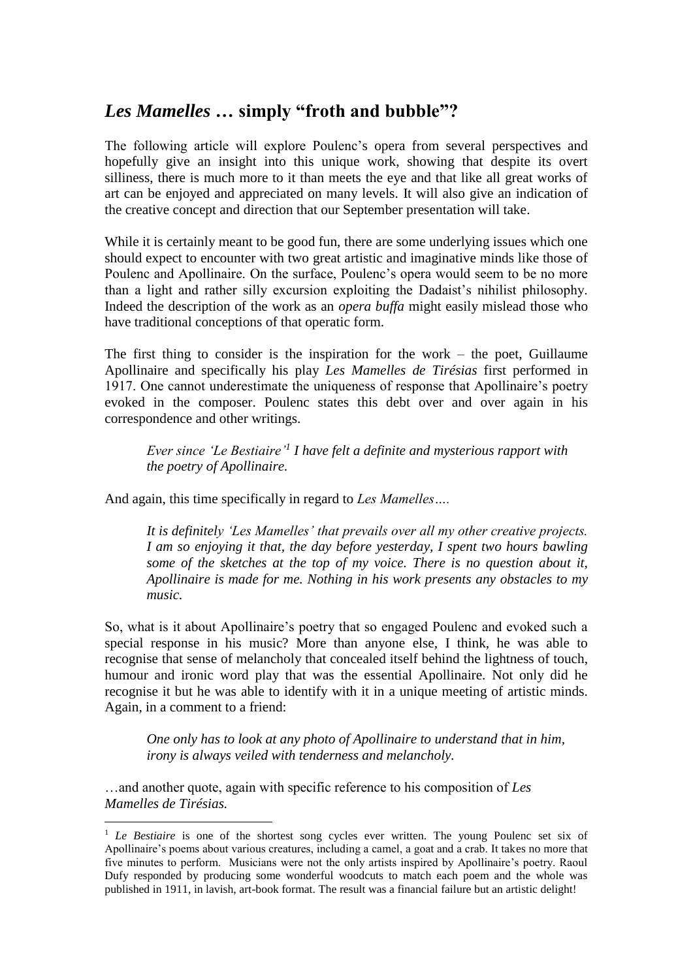# *Les Mamelles* **… simply "froth and bubble"?**

The following article will explore Poulenc's opera from several perspectives and hopefully give an insight into this unique work, showing that despite its overt silliness, there is much more to it than meets the eye and that like all great works of art can be enjoyed and appreciated on many levels. It will also give an indication of the creative concept and direction that our September presentation will take.

While it is certainly meant to be good fun, there are some underlying issues which one should expect to encounter with two great artistic and imaginative minds like those of Poulenc and Apollinaire. On the surface, Poulenc's opera would seem to be no more than a light and rather silly excursion exploiting the Dadaist's nihilist philosophy. Indeed the description of the work as an *opera buffa* might easily mislead those who have traditional conceptions of that operatic form.

The first thing to consider is the inspiration for the work – the poet, Guillaume Apollinaire and specifically his play *Les Mamelles de Tirésias* first performed in 1917. One cannot underestimate the uniqueness of response that Apollinaire's poetry evoked in the composer. Poulenc states this debt over and over again in his correspondence and other writings.

*Ever since 'Le Bestiaire'<sup>1</sup> I have felt a definite and mysterious rapport with the poetry of Apollinaire.*

And again, this time specifically in regard to *Les Mamelles….*

*It is definitely 'Les Mamelles' that prevails over all my other creative projects. I am so enjoying it that, the day before yesterday, I spent two hours bawling some of the sketches at the top of my voice. There is no question about it, Apollinaire is made for me. Nothing in his work presents any obstacles to my music.*

So, what is it about Apollinaire's poetry that so engaged Poulenc and evoked such a special response in his music? More than anyone else, I think, he was able to recognise that sense of melancholy that concealed itself behind the lightness of touch, humour and ironic word play that was the essential Apollinaire. Not only did he recognise it but he was able to identify with it in a unique meeting of artistic minds. Again, in a comment to a friend:

*One only has to look at any photo of Apollinaire to understand that in him, irony is always veiled with tenderness and melancholy.*

…and another quote, again with specific reference to his composition of *Les Mamelles de Tirésias.*

<u>.</u>

<sup>&</sup>lt;sup>1</sup> *Le Bestiaire* is one of the shortest song cycles ever written. The young Poulenc set six of Apollinaire's poems about various creatures, including a camel, a goat and a crab. It takes no more that five minutes to perform. Musicians were not the only artists inspired by Apollinaire's poetry. Raoul Dufy responded by producing some wonderful woodcuts to match each poem and the whole was published in 1911, in lavish, art-book format. The result was a financial failure but an artistic delight!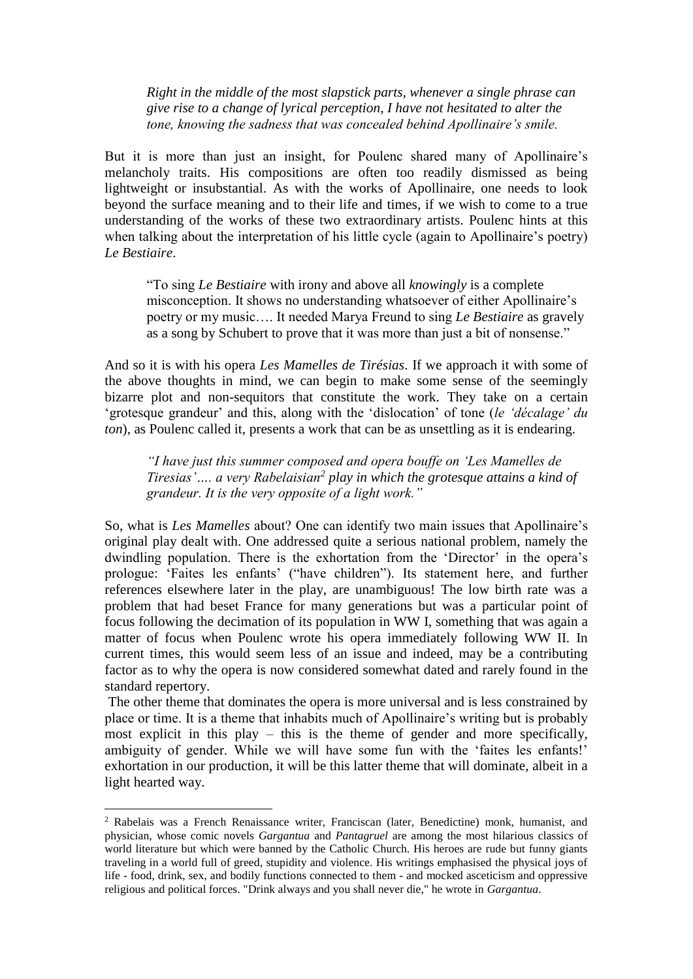*Right in the middle of the most slapstick parts, whenever a single phrase can give rise to a change of lyrical perception, I have not hesitated to alter the tone, knowing the sadness that was concealed behind Apollinaire's smile.*

But it is more than just an insight, for Poulenc shared many of Apollinaire's melancholy traits. His compositions are often too readily dismissed as being lightweight or insubstantial. As with the works of Apollinaire, one needs to look beyond the surface meaning and to their life and times, if we wish to come to a true understanding of the works of these two extraordinary artists. Poulenc hints at this when talking about the interpretation of his little cycle (again to Apollinaire's poetry) *Le Bestiaire*.

"To sing *Le Bestiaire* with irony and above all *knowingly* is a complete misconception. It shows no understanding whatsoever of either Apollinaire's poetry or my music…. It needed Marya Freund to sing *Le Bestiaire* as gravely as a song by Schubert to prove that it was more than just a bit of nonsense."

And so it is with his opera *Les Mamelles de Tirésias*. If we approach it with some of the above thoughts in mind, we can begin to make some sense of the seemingly bizarre plot and non-sequitors that constitute the work. They take on a certain 'grotesque grandeur' and this, along with the 'dislocation' of tone (*le 'décalage' du ton*), as Poulenc called it, presents a work that can be as unsettling as it is endearing.

*"I have just this summer composed and opera bouffe on 'Les Mamelles de Tiresias'…. a very Rabelaisian<sup>2</sup> play in which the grotesque attains a kind of grandeur. It is the very opposite of a light work."*

So, what is *Les Mamelles* about? One can identify two main issues that Apollinaire's original play dealt with. One addressed quite a serious national problem, namely the dwindling population. There is the exhortation from the 'Director' in the opera's prologue: 'Faites les enfants' ("have children"). Its statement here, and further references elsewhere later in the play, are unambiguous! The low birth rate was a problem that had beset France for many generations but was a particular point of focus following the decimation of its population in WW I, something that was again a matter of focus when Poulenc wrote his opera immediately following WW II. In current times, this would seem less of an issue and indeed, may be a contributing factor as to why the opera is now considered somewhat dated and rarely found in the standard repertory.

The other theme that dominates the opera is more universal and is less constrained by place or time. It is a theme that inhabits much of Apollinaire's writing but is probably most explicit in this play – this is the theme of gender and more specifically, ambiguity of gender. While we will have some fun with the 'faites les enfants!' exhortation in our production, it will be this latter theme that will dominate, albeit in a light hearted way.

1

<sup>2</sup> Rabelais was a French Renaissance writer, Franciscan (later, Benedictine) monk, humanist, and physician, whose comic novels *Gargantua* and *Pantagruel* are among the most hilarious classics of world literature but which were banned by the Catholic Church. His heroes are rude but funny giants traveling in a world full of greed, stupidity and violence. His writings emphasised the physical joys of life - food, drink, sex, and bodily functions connected to them - and mocked asceticism and oppressive religious and political forces. "Drink always and you shall never die," he wrote in *Gargantua*.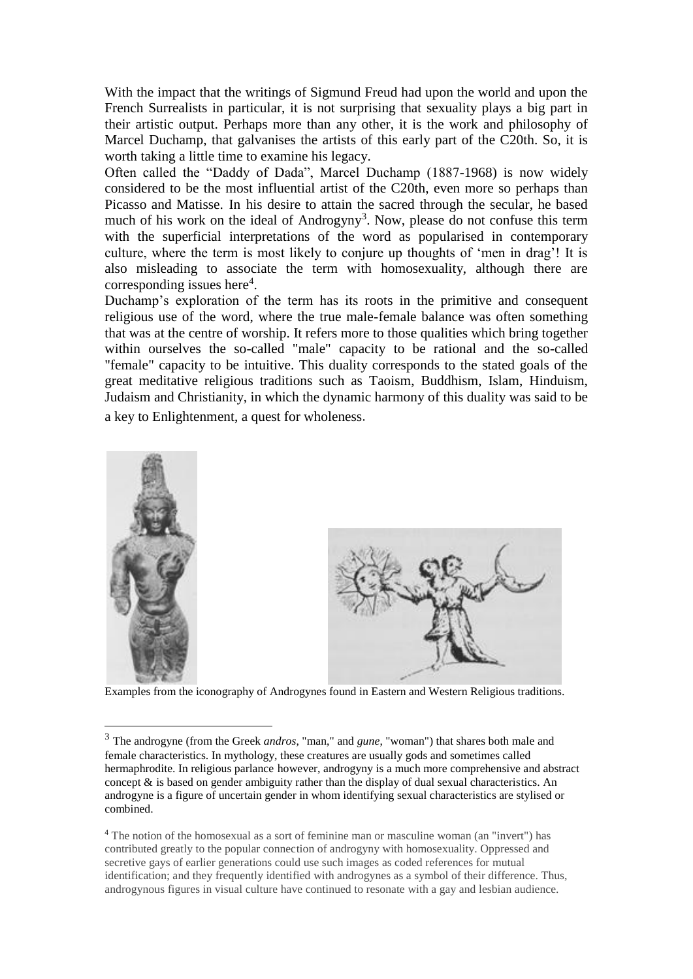With the impact that the writings of Sigmund Freud had upon the world and upon the French Surrealists in particular, it is not surprising that sexuality plays a big part in their artistic output. Perhaps more than any other, it is the work and philosophy of Marcel Duchamp, that galvanises the artists of this early part of the C20th. So, it is worth taking a little time to examine his legacy.

Often called the "Daddy of Dada", Marcel Duchamp (1887-1968) is now widely considered to be the most influential artist of the C20th, even more so perhaps than Picasso and Matisse. In his desire to attain the sacred through the secular, he based much of his work on the ideal of Androgyny<sup>3</sup>. Now, please do not confuse this term with the superficial interpretations of the word as popularised in contemporary culture, where the term is most likely to conjure up thoughts of 'men in drag'! It is also misleading to associate the term with homosexuality, although there are corresponding issues here<sup>4</sup>.

Duchamp's exploration of the term has its roots in the primitive and consequent religious use of the word, where the true male-female balance was often something that was at the centre of worship. It refers more to those qualities which bring together within ourselves the so-called "male" capacity to be rational and the so-called "female" capacity to be intuitive. This duality corresponds to the stated goals of the great meditative religious traditions such as Taoism, Buddhism, Islam, Hinduism, Judaism and Christianity, in which the dynamic harmony of this duality was said to be a key to Enlightenment, a quest for wholeness.



Examples from the iconography of Androgynes found in Eastern and Western Religious traditions.

<u>.</u>

<sup>3</sup> The androgyne (from the Greek *andros*, "man," and *gune*, "woman") that shares both male and female characteristics. In mythology, these creatures are usually gods and sometimes called hermaphrodite. In religious parlance however, androgyny is a much more comprehensive and abstract concept & is based on gender ambiguity rather than the display of dual sexual characteristics. An androgyne is a figure of uncertain gender in whom identifying sexual characteristics are stylised or combined.

<sup>4</sup> The notion of the homosexual as a sort of feminine man or masculine woman (an "invert") has contributed greatly to the popular connection of androgyny with homosexuality. Oppressed and secretive gays of earlier generations could use such images as coded references for mutual identification; and they frequently identified with androgynes as a symbol of their difference. Thus, androgynous figures in visual culture have continued to resonate with a gay and lesbian audience.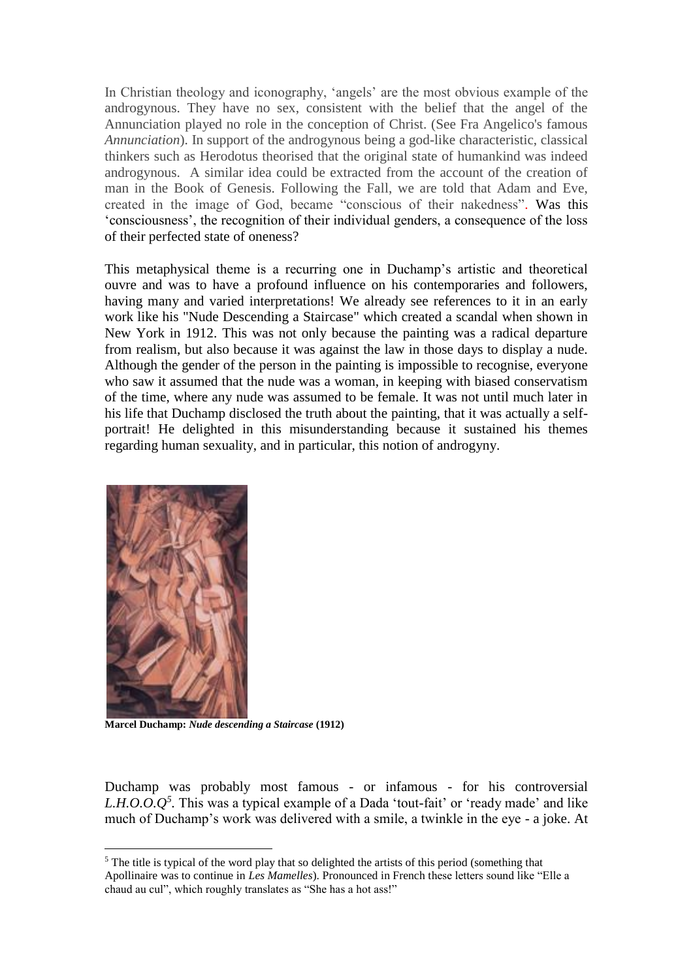In Christian theology and iconography, 'angels' are the most obvious example of the androgynous. They have no sex, consistent with the belief that the angel of the Annunciation played no role in the conception of Christ. (See Fra Angelico's famous *Annunciation*). In support of the androgynous being a god-like characteristic, classical thinkers such as Herodotus theorised that the original state of humankind was indeed androgynous. A similar idea could be extracted from the account of the creation of man in the Book of Genesis. Following the Fall, we are told that Adam and Eve, created in the image of God, became "conscious of their nakedness". Was this 'consciousness', the recognition of their individual genders, a consequence of the loss of their perfected state of oneness?

This metaphysical theme is a recurring one in Duchamp's artistic and theoretical ouvre and was to have a profound influence on his contemporaries and followers, having many and varied interpretations! We already see references to it in an early work like his "Nude Descending a Staircase" which created a scandal when shown in New York in 1912. This was not only because the painting was a radical departure from realism, but also because it was against the law in those days to display a nude. Although the gender of the person in the painting is impossible to recognise, everyone who saw it assumed that the nude was a woman, in keeping with biased conservatism of the time, where any nude was assumed to be female. It was not until much later in his life that Duchamp disclosed the truth about the painting, that it was actually a selfportrait! He delighted in this misunderstanding because it sustained his themes regarding human sexuality, and in particular, this notion of androgyny.



<u>.</u>

**Marcel Duchamp:** *Nude descending a Staircase* **(1912)**

Duchamp was probably most famous - or infamous - for his controversial *L.H.O.O.* $Q^5$ . This was a typical example of a Dada 'tout-fait' or 'ready made' and like much of Duchamp's work was delivered with a smile, a twinkle in the eye - a joke. At

<sup>&</sup>lt;sup>5</sup> The title is typical of the word play that so delighted the artists of this period (something that Apollinaire was to continue in *Les Mamelles*). Pronounced in French these letters sound like "Elle a chaud au cul", which roughly translates as "She has a hot ass!"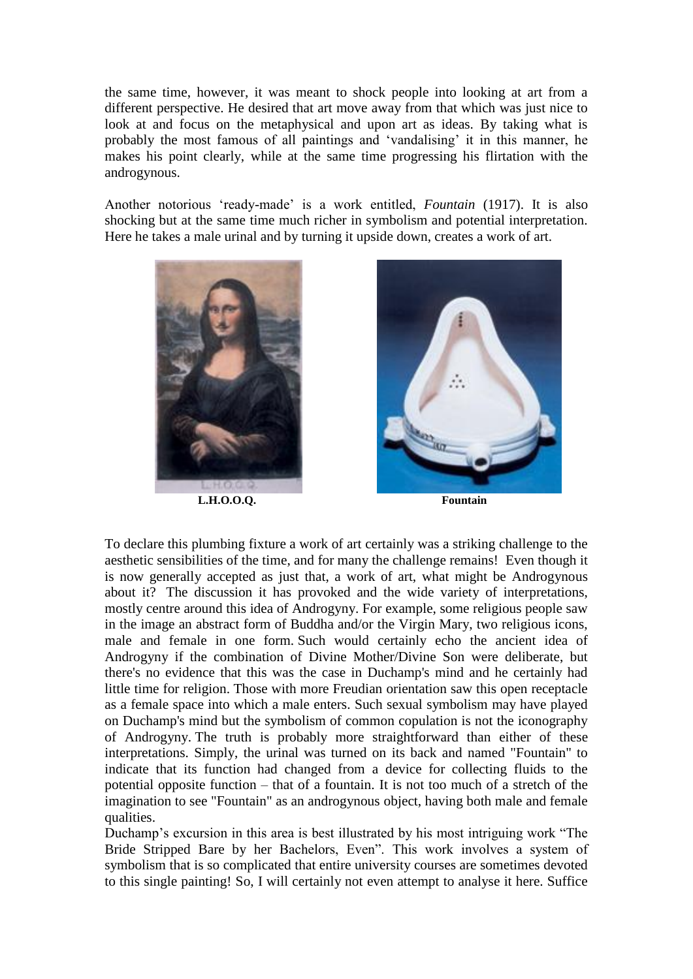the same time, however, it was meant to shock people into looking at art from a different perspective. He desired that art move away from that which was just nice to look at and focus on the metaphysical and upon art as ideas. By taking what is probably the most famous of all paintings and 'vandalising' it in this manner, he makes his point clearly, while at the same time progressing his flirtation with the androgynous.

Another notorious 'ready-made' is a work entitled, *Fountain* (1917). It is also shocking but at the same time much richer in symbolism and potential interpretation. Here he takes a male urinal and by turning it upside down, creates a work of art.





To declare this plumbing fixture a work of art certainly was a striking challenge to the aesthetic sensibilities of the time, and for many the challenge remains! Even though it is now generally accepted as just that, a work of art, what might be Androgynous about it? The discussion it has provoked and the wide variety of interpretations, mostly centre around this idea of Androgyny. For example, some religious people saw in the image an abstract form of Buddha and/or the Virgin Mary, two religious icons, male and female in one form. Such would certainly echo the ancient idea of Androgyny if the combination of Divine Mother/Divine Son were deliberate, but there's no evidence that this was the case in Duchamp's mind and he certainly had little time for religion. Those with more Freudian orientation saw this open receptacle as a female space into which a male enters. Such sexual symbolism may have played on Duchamp's mind but the symbolism of common copulation is not the iconography of Androgyny. The truth is probably more straightforward than either of these interpretations. Simply, the urinal was turned on its back and named "Fountain" to indicate that its function had changed from a device for collecting fluids to the potential opposite function – that of a fountain. It is not too much of a stretch of the imagination to see "Fountain" as an androgynous object, having both male and female qualities.

Duchamp's excursion in this area is best illustrated by his most intriguing work "The Bride Stripped Bare by her Bachelors, Even". This work involves a system of symbolism that is so complicated that entire university courses are sometimes devoted to this single painting! So, I will certainly not even attempt to analyse it here. Suffice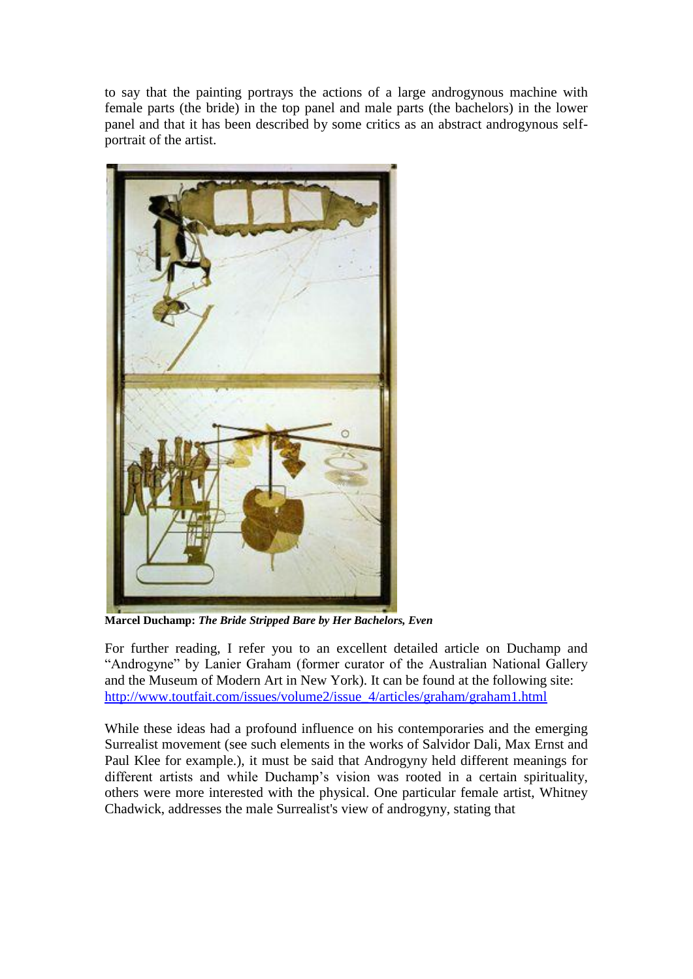to say that the painting portrays the actions of a large androgynous machine with female parts (the bride) in the top panel and male parts (the bachelors) in the lower panel and that it has been described by some critics as an abstract androgynous selfportrait of the artist.



**Marcel Duchamp:** *The Bride Stripped Bare by Her Bachelors, Even*

For further reading, I refer you to an excellent detailed article on Duchamp and "Androgyne" by Lanier Graham (former curator of the Australian National Gallery and the Museum of Modern Art in New York). It can be found at the following site: [http://www.toutfait.com/issues/volume2/issue\\_4/articles/graham/graham1.html](http://www.toutfait.com/issues/volume2/issue_4/articles/graham/graham1.html)

While these ideas had a profound influence on his contemporaries and the emerging Surrealist movement (see such elements in the works of Salvidor Dali, Max Ernst and Paul Klee for example.), it must be said that Androgyny held different meanings for different artists and while Duchamp's vision was rooted in a certain spirituality, others were more interested with the physical. One particular female artist, Whitney Chadwick, addresses the male Surrealist's view of androgyny, stating that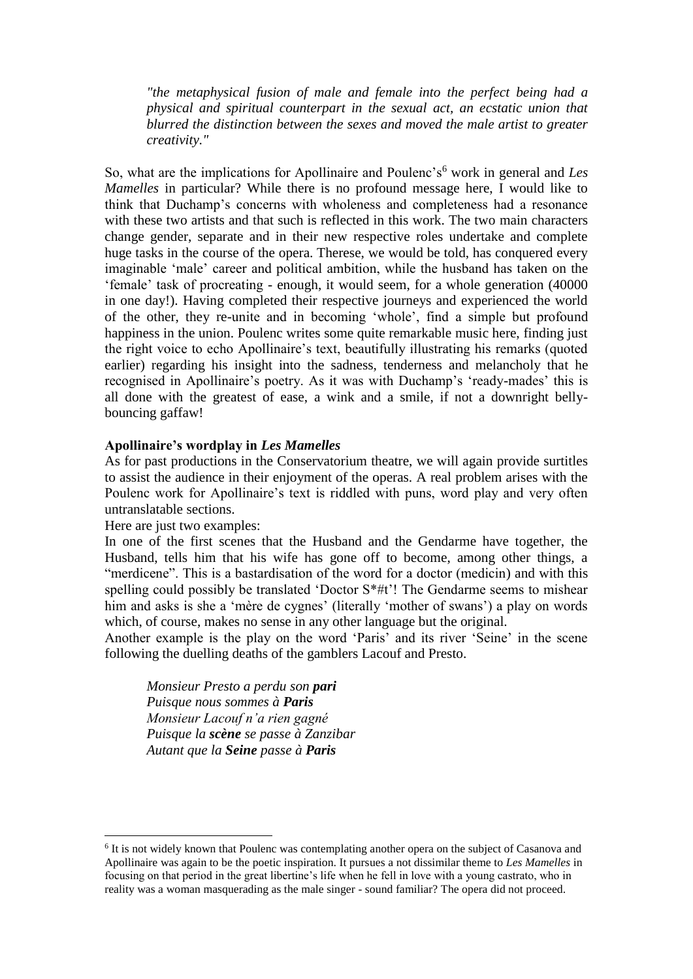*"the metaphysical fusion of male and female into the perfect being had a physical and spiritual counterpart in the sexual act, an ecstatic union that blurred the distinction between the sexes and moved the male artist to greater creativity."*

So, what are the implications for Apollinaire and Poulenc's<sup>6</sup> work in general and *Les Mamelles* in particular? While there is no profound message here. I would like to think that Duchamp's concerns with wholeness and completeness had a resonance with these two artists and that such is reflected in this work. The two main characters change gender, separate and in their new respective roles undertake and complete huge tasks in the course of the opera. Therese, we would be told, has conquered every imaginable 'male' career and political ambition, while the husband has taken on the 'female' task of procreating - enough, it would seem, for a whole generation (40000 in one day!). Having completed their respective journeys and experienced the world of the other, they re-unite and in becoming 'whole', find a simple but profound happiness in the union. Poulenc writes some quite remarkable music here, finding just the right voice to echo Apollinaire's text, beautifully illustrating his remarks (quoted earlier) regarding his insight into the sadness, tenderness and melancholy that he recognised in Apollinaire's poetry. As it was with Duchamp's 'ready-mades' this is all done with the greatest of ease, a wink and a smile, if not a downright bellybouncing gaffaw!

#### **Apollinaire's wordplay in** *Les Mamelles*

As for past productions in the Conservatorium theatre, we will again provide surtitles to assist the audience in their enjoyment of the operas. A real problem arises with the Poulenc work for Apollinaire's text is riddled with puns, word play and very often untranslatable sections.

Here are just two examples:

1

In one of the first scenes that the Husband and the Gendarme have together, the Husband, tells him that his wife has gone off to become, among other things, a "merdicene". This is a bastardisation of the word for a doctor (medicin) and with this spelling could possibly be translated 'Doctor S\*#t'! The Gendarme seems to mishear him and asks is she a 'mère de cygnes' (literally 'mother of swans') a play on words which, of course, makes no sense in any other language but the original.

Another example is the play on the word 'Paris' and its river 'Seine' in the scene following the duelling deaths of the gamblers Lacouf and Presto.

*Monsieur Presto a perdu son pari Puisque nous sommes à Paris Monsieur Lacouf n'a rien gagné Puisque la scène se passe à Zanzibar Autant que la Seine passe à Paris*

<sup>&</sup>lt;sup>6</sup> It is not widely known that Poulenc was contemplating another opera on the subject of Casanova and Apollinaire was again to be the poetic inspiration. It pursues a not dissimilar theme to *Les Mamelles* in focusing on that period in the great libertine's life when he fell in love with a young castrato, who in reality was a woman masquerading as the male singer - sound familiar? The opera did not proceed.